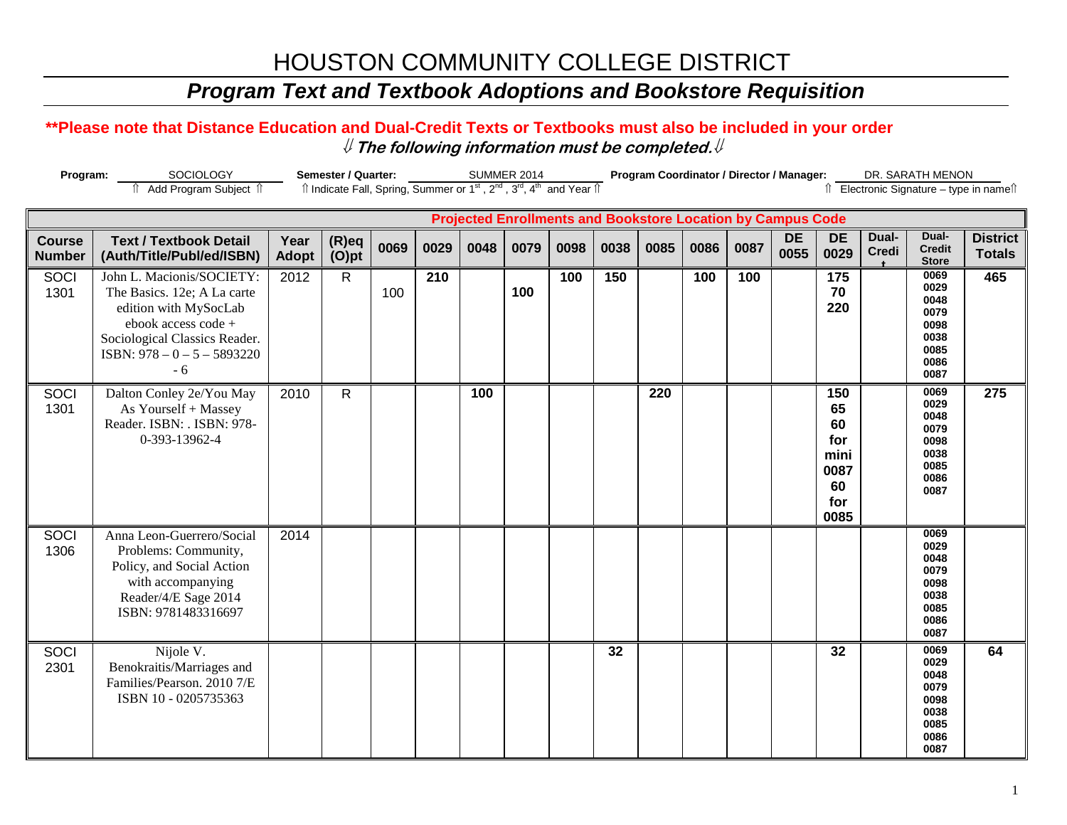# HOUSTON COMMUNITY COLLEGE DISTRICT

### *Program Text and Textbook Adoptions and Bookstore Requisition*

### **\*\*Please note that Distance Education and Dual-Credit Texts or Textbooks must also be included in your order** ⇓ **The following information must be completed.**⇓

| Program:<br>SOCIOLOGY                                              |                                                                                                                                                                                    | Semester / Quarter:  |                                                                                                                       |      |      | <b>SUMMER 2014</b> |      |      |      | Program Coordinator / Director / Manager: |      |      |                   |                                                             |                       | DR. SARATH MENON                                                     |                                       |  |
|--------------------------------------------------------------------|------------------------------------------------------------------------------------------------------------------------------------------------------------------------------------|----------------------|-----------------------------------------------------------------------------------------------------------------------|------|------|--------------------|------|------|------|-------------------------------------------|------|------|-------------------|-------------------------------------------------------------|-----------------------|----------------------------------------------------------------------|---------------------------------------|--|
|                                                                    | Add Program Subject 1                                                                                                                                                              |                      | Îl Indicate Fall, Spring, Summer or 1 <sup>st</sup> , 2 <sup>nd</sup> , 3 <sup>rd</sup> , 4 <sup>th</sup> and Year Îl |      |      |                    |      |      |      |                                           |      |      |                   |                                                             |                       |                                                                      | ↑ Electronic Signature – type in name |  |
| <b>Projected Enrollments and Bookstore Location by Campus Code</b> |                                                                                                                                                                                    |                      |                                                                                                                       |      |      |                    |      |      |      |                                           |      |      |                   |                                                             |                       |                                                                      |                                       |  |
| <b>Course</b><br><b>Number</b>                                     | <b>Text / Textbook Detail</b><br>(Auth/Title/Publ/ed/ISBN)                                                                                                                         | Year<br><b>Adopt</b> | $(R)$ eq<br>$(O)$ pt                                                                                                  | 0069 | 0029 | 0048               | 0079 | 0098 | 0038 | 0085                                      | 0086 | 0087 | <b>DE</b><br>0055 | <b>DE</b><br>0029                                           | Dual-<br><b>Credi</b> | Dual-<br><b>Credit</b><br><b>Store</b>                               | <b>District</b><br><b>Totals</b>      |  |
| SOCI<br>1301                                                       | John L. Macionis/SOCIETY:<br>The Basics. 12e; A La carte<br>edition with MySocLab<br>ebook access code +<br>Sociological Classics Reader.<br>ISBN: $978 - 0 - 5 - 5893220$<br>$-6$ | 2012                 | $\mathsf{R}$                                                                                                          | 100  | 210  |                    | 100  | 100  | 150  |                                           | 100  | 100  |                   | 175<br>70<br>220                                            |                       | 0069<br>0029<br>0048<br>0079<br>0098<br>0038<br>0085<br>0086<br>0087 | 465                                   |  |
| SOCI<br>1301                                                       | Dalton Conley 2e/You May<br>As Yourself + Massey<br>Reader. ISBN: . ISBN: 978-<br>0-393-13962-4                                                                                    | 2010                 | $\mathsf{R}$                                                                                                          |      |      | 100                |      |      |      | 220                                       |      |      |                   | 150<br>65<br>60<br>for<br>mini<br>0087<br>60<br>for<br>0085 |                       | 0069<br>0029<br>0048<br>0079<br>0098<br>0038<br>0085<br>0086<br>0087 | 275                                   |  |
| <b>SOCI</b><br>1306                                                | Anna Leon-Guerrero/Social<br>Problems: Community,<br>Policy, and Social Action<br>with accompanying<br>Reader/4/E Sage 2014<br>ISBN: 9781483316697                                 | 2014                 |                                                                                                                       |      |      |                    |      |      |      |                                           |      |      |                   |                                                             |                       | 0069<br>0029<br>0048<br>0079<br>0098<br>0038<br>0085<br>0086<br>0087 |                                       |  |
| SOCI<br>2301                                                       | Nijole V.<br>Benokraitis/Marriages and<br>Families/Pearson. 2010 7/E<br>ISBN 10 - 0205735363                                                                                       |                      |                                                                                                                       |      |      |                    |      |      | 32   |                                           |      |      |                   | 32                                                          |                       | 0069<br>0029<br>0048<br>0079<br>0098<br>0038<br>0085<br>0086<br>0087 | 64                                    |  |